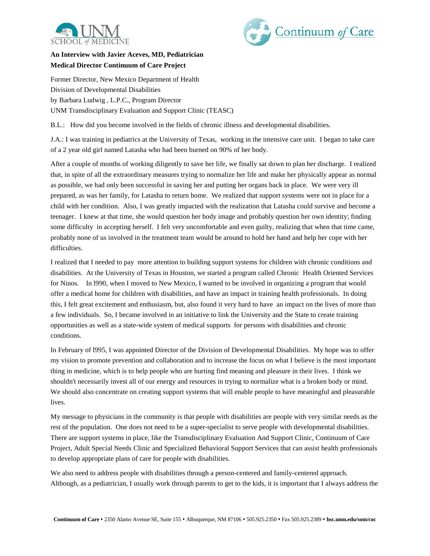



## **An Interview with Javier Aceves, MD, Pediatrician Medical Director Continuum of Care Project**

Former Director, New Mexico Department of Health Division of Developmental Disabilities by Barbara Ludwig , L.P.C., Program Director UNM Transdisciplinary Evaluation and Support Clinic (TEASC)

B.L.: How did you become involved in the fields of chronic illness and developmental disabilities.

J.A.: I was training in pediatrics at the University of Texas, working in the intensive care unit. I began to take care of a 2 year old girl named Latasha who had been burned on 90% of her body.

After a couple of months of working diligently to save her life, we finally sat down to plan her discharge. I realized that, in spite of all the extraordinary measures trying to normalize her life and make her physically appear as normal as possible, we had only been successful in saving her and putting her organs back in place. We were very ill prepared, as was her family, for Latasha to return home. We realized that support systems were not in place for a child with her condition. Also, I was greatly impacted with the realization that Latasha could survive and become a teenager. I knew at that time, she would question her body image and probably question her own identity; finding some difficulty in accepting herself. I felt very uncomfortable and even guilty, realizing that when that time came, probably none of us involved in the treatment team would be around to hold her hand and help her cope with her difficulties.

I realized that I needed to pay more attention to building support systems for children with chronic conditions and disabilities. At the University of Texas in Houston, we started a program called Chronic Health Oriented Services for Ninos. In l990, when I moved to New Mexico, I wanted to be involved in organizing a program that would offer a medical home for children with disabilities, and have an impact in training health professionals. In doing this, I felt great excitement and enthusiasm, but, also found it very hard to have an impact on the lives of more than a few individuals. So, I became involved in an initiative to link the University and the State to create training opportunities as well as a state-wide system of medical supports for persons with disabilities and chronic conditions.

In February of l995, I was appointed Director of the Division of Developmental Disabilities. My hope was to offer my vision to promote prevention and collaboration and to increase the focus on what I believe is the most important thing in medicine, which is to help people who are hurting find meaning and pleasure in their lives. I think we shouldn't necessarily invest all of our energy and resources in trying to normalize what is a broken body or mind. We should also concentrate on creating support systems that will enable people to have meaningful and pleasurable lives.

My message to physicians in the community is that people with disabilities are people with very similar needs as the rest of the population. One does not need to be a super-specialist to serve people with developmental disabilities. There are support systems in place, like the Transdisciplinary Evaluation And Support Clinic, Continuum of Care Project, Adult Special Needs Clinic and Specialized Behavioral Support Services that can assist health professionals to develop appropriate plans of care for people with disabilities.

We also need to address people with disabilities through a person-centered and family-centered approach. Although, as a pediatrician, I usually work through parents to get to the kids, it is important that I always address the